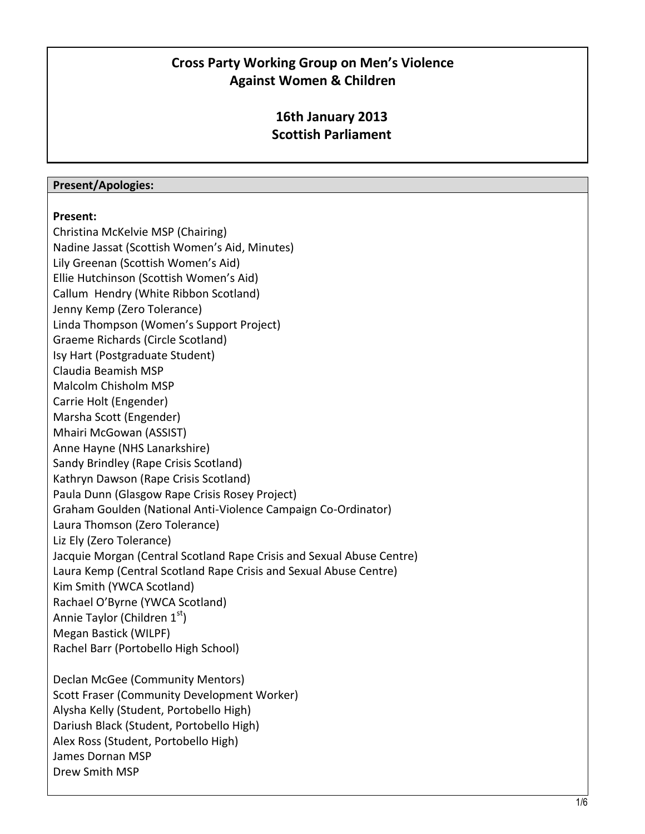## **Cross Party Working Group on Men's Violence Against Women & Children**

## **16th January 2013 Scottish Parliament**

## **Present/Apologies:**

## **Present:**

Christina McKelvie MSP (Chairing) Nadine Jassat (Scottish Women's Aid, Minutes) Lily Greenan (Scottish Women's Aid) Ellie Hutchinson (Scottish Women's Aid) Callum Hendry (White Ribbon Scotland) Jenny Kemp (Zero Tolerance) Linda Thompson (Women's Support Project) Graeme Richards (Circle Scotland) Isy Hart (Postgraduate Student) Claudia Beamish MSP Malcolm Chisholm MSP Carrie Holt (Engender) Marsha Scott (Engender) Mhairi McGowan (ASSIST) Anne Hayne (NHS Lanarkshire) Sandy Brindley (Rape Crisis Scotland) Kathryn Dawson (Rape Crisis Scotland) Paula Dunn (Glasgow Rape Crisis Rosey Project) Graham Goulden (National Anti-Violence Campaign Co-Ordinator) Laura Thomson (Zero Tolerance) Liz Ely (Zero Tolerance) Jacquie Morgan (Central Scotland Rape Crisis and Sexual Abuse Centre) Laura Kemp (Central Scotland Rape Crisis and Sexual Abuse Centre) Kim Smith (YWCA Scotland) Rachael O'Byrne (YWCA Scotland) Annie Taylor (Children  $1<sup>st</sup>$ ) Megan Bastick (WILPF) Rachel Barr (Portobello High School) Declan McGee (Community Mentors) Scott Fraser (Community Development Worker) Alysha Kelly (Student, Portobello High) Dariush Black (Student, Portobello High) Alex Ross (Student, Portobello High) James Dornan MSP Drew Smith MSP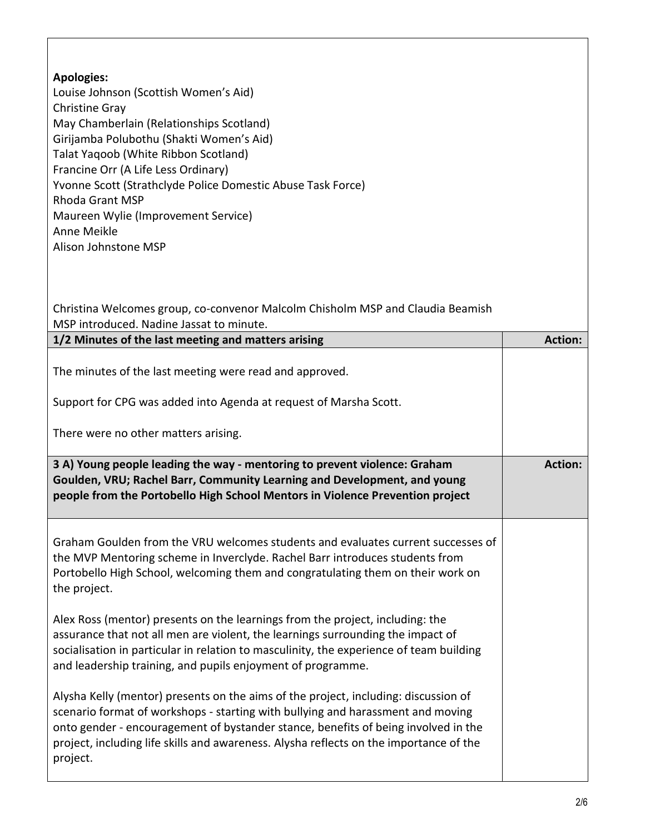| <b>Apologies:</b><br>Louise Johnson (Scottish Women's Aid)<br>Christine Gray<br>May Chamberlain (Relationships Scotland)<br>Girijamba Polubothu (Shakti Women's Aid)<br>Talat Yaqoob (White Ribbon Scotland)<br>Francine Orr (A Life Less Ordinary)<br>Yvonne Scott (Strathclyde Police Domestic Abuse Task Force)<br><b>Rhoda Grant MSP</b><br>Maureen Wylie (Improvement Service)<br>Anne Meikle<br>Alison Johnstone MSP<br>Christina Welcomes group, co-convenor Malcolm Chisholm MSP and Claudia Beamish<br>MSP introduced. Nadine Jassat to minute. |                |
|----------------------------------------------------------------------------------------------------------------------------------------------------------------------------------------------------------------------------------------------------------------------------------------------------------------------------------------------------------------------------------------------------------------------------------------------------------------------------------------------------------------------------------------------------------|----------------|
| 1/2 Minutes of the last meeting and matters arising                                                                                                                                                                                                                                                                                                                                                                                                                                                                                                      | <b>Action:</b> |
|                                                                                                                                                                                                                                                                                                                                                                                                                                                                                                                                                          |                |
| The minutes of the last meeting were read and approved.                                                                                                                                                                                                                                                                                                                                                                                                                                                                                                  |                |
| Support for CPG was added into Agenda at request of Marsha Scott.                                                                                                                                                                                                                                                                                                                                                                                                                                                                                        |                |
| There were no other matters arising.                                                                                                                                                                                                                                                                                                                                                                                                                                                                                                                     |                |
| 3 A) Young people leading the way - mentoring to prevent violence: Graham<br>Goulden, VRU; Rachel Barr, Community Learning and Development, and young<br>people from the Portobello High School Mentors in Violence Prevention project                                                                                                                                                                                                                                                                                                                   | <b>Action:</b> |
| Graham Goulden from the VRU welcomes students and evaluates current successes of<br>the MVP Mentoring scheme in Inverclyde. Rachel Barr introduces students from<br>Portobello High School, welcoming them and congratulating them on their work on<br>the project.                                                                                                                                                                                                                                                                                      |                |
| Alex Ross (mentor) presents on the learnings from the project, including: the<br>assurance that not all men are violent, the learnings surrounding the impact of<br>socialisation in particular in relation to masculinity, the experience of team building<br>and leadership training, and pupils enjoyment of programme.                                                                                                                                                                                                                               |                |
| Alysha Kelly (mentor) presents on the aims of the project, including: discussion of<br>scenario format of workshops - starting with bullying and harassment and moving<br>onto gender - encouragement of bystander stance, benefits of being involved in the<br>project, including life skills and awareness. Alysha reflects on the importance of the<br>project.                                                                                                                                                                                       |                |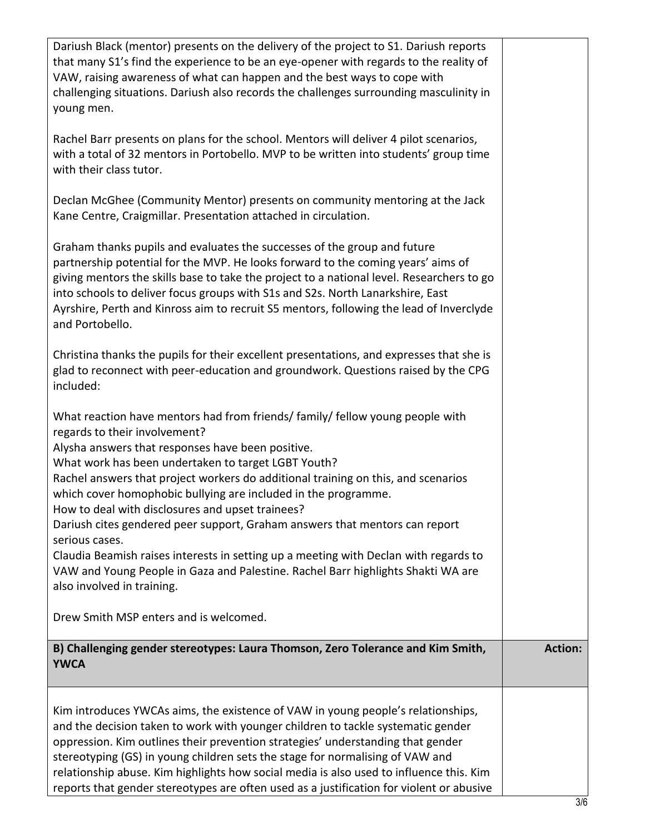| Dariush Black (mentor) presents on the delivery of the project to S1. Dariush reports<br>that many S1's find the experience to be an eye-opener with regards to the reality of<br>VAW, raising awareness of what can happen and the best ways to cope with<br>challenging situations. Dariush also records the challenges surrounding masculinity in<br>young men.                                                                                                                                                                     |  |                |  |
|----------------------------------------------------------------------------------------------------------------------------------------------------------------------------------------------------------------------------------------------------------------------------------------------------------------------------------------------------------------------------------------------------------------------------------------------------------------------------------------------------------------------------------------|--|----------------|--|
| Rachel Barr presents on plans for the school. Mentors will deliver 4 pilot scenarios,<br>with a total of 32 mentors in Portobello. MVP to be written into students' group time<br>with their class tutor.                                                                                                                                                                                                                                                                                                                              |  |                |  |
| Declan McGhee (Community Mentor) presents on community mentoring at the Jack<br>Kane Centre, Craigmillar. Presentation attached in circulation.                                                                                                                                                                                                                                                                                                                                                                                        |  |                |  |
| Graham thanks pupils and evaluates the successes of the group and future<br>partnership potential for the MVP. He looks forward to the coming years' aims of<br>giving mentors the skills base to take the project to a national level. Researchers to go<br>into schools to deliver focus groups with S1s and S2s. North Lanarkshire, East<br>Ayrshire, Perth and Kinross aim to recruit S5 mentors, following the lead of Inverclyde<br>and Portobello.                                                                              |  |                |  |
| Christina thanks the pupils for their excellent presentations, and expresses that she is<br>glad to reconnect with peer-education and groundwork. Questions raised by the CPG<br>included:                                                                                                                                                                                                                                                                                                                                             |  |                |  |
| What reaction have mentors had from friends/ family/ fellow young people with<br>regards to their involvement?<br>Alysha answers that responses have been positive.<br>What work has been undertaken to target LGBT Youth?<br>Rachel answers that project workers do additional training on this, and scenarios<br>which cover homophobic bullying are included in the programme.<br>How to deal with disclosures and upset trainees?<br>Dariush cites gendered peer support, Graham answers that mentors can report<br>serious cases. |  |                |  |
| Claudia Beamish raises interests in setting up a meeting with Declan with regards to<br>VAW and Young People in Gaza and Palestine. Rachel Barr highlights Shakti WA are<br>also involved in training.                                                                                                                                                                                                                                                                                                                                 |  |                |  |
| Drew Smith MSP enters and is welcomed.                                                                                                                                                                                                                                                                                                                                                                                                                                                                                                 |  |                |  |
| B) Challenging gender stereotypes: Laura Thomson, Zero Tolerance and Kim Smith,<br><b>YWCA</b>                                                                                                                                                                                                                                                                                                                                                                                                                                         |  | <b>Action:</b> |  |
| Kim introduces YWCAs aims, the existence of VAW in young people's relationships,<br>and the decision taken to work with younger children to tackle systematic gender<br>oppression. Kim outlines their prevention strategies' understanding that gender<br>stereotyping (GS) in young children sets the stage for normalising of VAW and<br>relationship abuse. Kim highlights how social media is also used to influence this. Kim<br>reports that gender stereotypes are often used as a justification for violent or abusive        |  |                |  |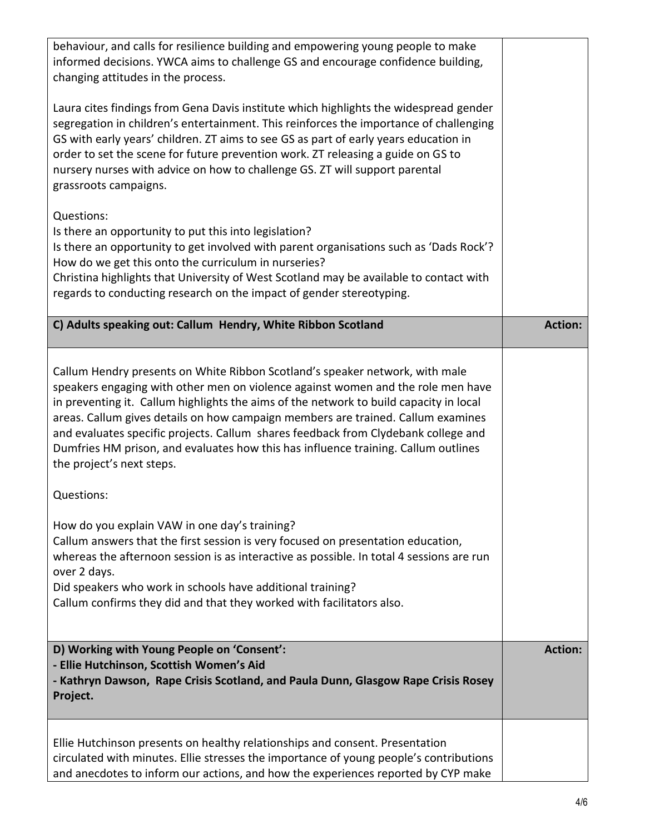| behaviour, and calls for resilience building and empowering young people to make<br>informed decisions. YWCA aims to challenge GS and encourage confidence building,<br>changing attitudes in the process.                                                                                                                                                                                                                                                                                                                                              |                |
|---------------------------------------------------------------------------------------------------------------------------------------------------------------------------------------------------------------------------------------------------------------------------------------------------------------------------------------------------------------------------------------------------------------------------------------------------------------------------------------------------------------------------------------------------------|----------------|
| Laura cites findings from Gena Davis institute which highlights the widespread gender<br>segregation in children's entertainment. This reinforces the importance of challenging<br>GS with early years' children. ZT aims to see GS as part of early years education in<br>order to set the scene for future prevention work. ZT releasing a guide on GS to<br>nursery nurses with advice on how to challenge GS. ZT will support parental<br>grassroots campaigns.                                                                                     |                |
| Questions:<br>Is there an opportunity to put this into legislation?<br>Is there an opportunity to get involved with parent organisations such as 'Dads Rock'?<br>How do we get this onto the curriculum in nurseries?<br>Christina highlights that University of West Scotland may be available to contact with<br>regards to conducting research on the impact of gender stereotyping.                                                                                                                                                                 |                |
| C) Adults speaking out: Callum Hendry, White Ribbon Scotland                                                                                                                                                                                                                                                                                                                                                                                                                                                                                            | <b>Action:</b> |
| Callum Hendry presents on White Ribbon Scotland's speaker network, with male<br>speakers engaging with other men on violence against women and the role men have<br>in preventing it. Callum highlights the aims of the network to build capacity in local<br>areas. Callum gives details on how campaign members are trained. Callum examines<br>and evaluates specific projects. Callum shares feedback from Clydebank college and<br>Dumfries HM prison, and evaluates how this has influence training. Callum outlines<br>the project's next steps. |                |
| Questions:                                                                                                                                                                                                                                                                                                                                                                                                                                                                                                                                              |                |
| How do you explain VAW in one day's training?<br>Callum answers that the first session is very focused on presentation education,<br>whereas the afternoon session is as interactive as possible. In total 4 sessions are run<br>over 2 days.<br>Did speakers who work in schools have additional training?<br>Callum confirms they did and that they worked with facilitators also.                                                                                                                                                                    |                |
| D) Working with Young People on 'Consent':                                                                                                                                                                                                                                                                                                                                                                                                                                                                                                              | <b>Action:</b> |
| - Ellie Hutchinson, Scottish Women's Aid<br>- Kathryn Dawson, Rape Crisis Scotland, and Paula Dunn, Glasgow Rape Crisis Rosey<br>Project.                                                                                                                                                                                                                                                                                                                                                                                                               |                |
| Ellie Hutchinson presents on healthy relationships and consent. Presentation<br>circulated with minutes. Ellie stresses the importance of young people's contributions<br>and anecdotes to inform our actions, and how the experiences reported by CYP make                                                                                                                                                                                                                                                                                             |                |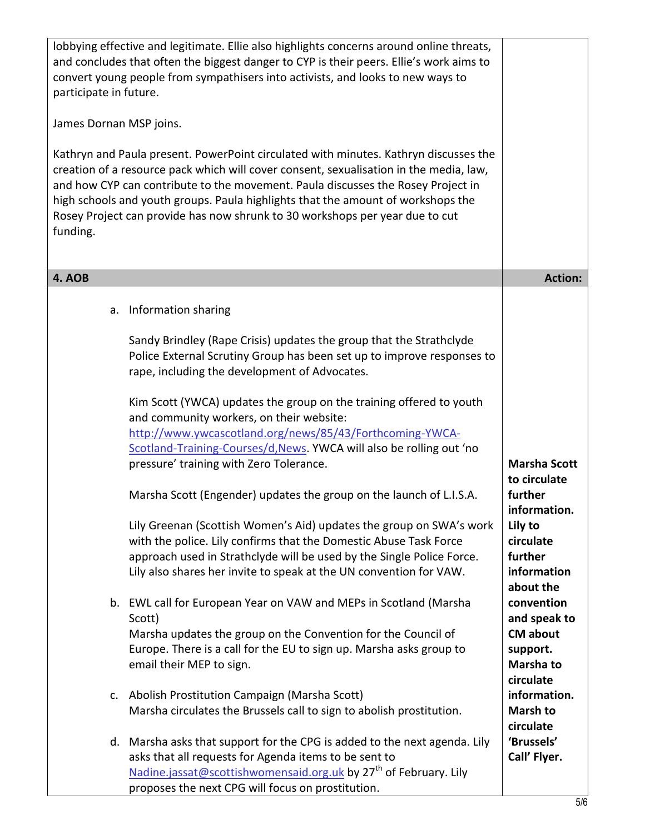| participate in future.<br>James Dornan MSP joins.<br>funding. | lobbying effective and legitimate. Ellie also highlights concerns around online threats,<br>and concludes that often the biggest danger to CYP is their peers. Ellie's work aims to<br>convert young people from sympathisers into activists, and looks to new ways to<br>Kathryn and Paula present. PowerPoint circulated with minutes. Kathryn discusses the<br>creation of a resource pack which will cover consent, sexualisation in the media, law,<br>and how CYP can contribute to the movement. Paula discusses the Rosey Project in<br>high schools and youth groups. Paula highlights that the amount of workshops the<br>Rosey Project can provide has now shrunk to 30 workshops per year due to cut |                                                                                        |
|---------------------------------------------------------------|------------------------------------------------------------------------------------------------------------------------------------------------------------------------------------------------------------------------------------------------------------------------------------------------------------------------------------------------------------------------------------------------------------------------------------------------------------------------------------------------------------------------------------------------------------------------------------------------------------------------------------------------------------------------------------------------------------------|----------------------------------------------------------------------------------------|
| 4. AOB                                                        |                                                                                                                                                                                                                                                                                                                                                                                                                                                                                                                                                                                                                                                                                                                  | <b>Action:</b>                                                                         |
| а.                                                            | Information sharing<br>Sandy Brindley (Rape Crisis) updates the group that the Strathclyde<br>Police External Scrutiny Group has been set up to improve responses to                                                                                                                                                                                                                                                                                                                                                                                                                                                                                                                                             |                                                                                        |
|                                                               | rape, including the development of Advocates.<br>Kim Scott (YWCA) updates the group on the training offered to youth<br>and community workers, on their website:<br>http://www.ywcascotland.org/news/85/43/Forthcoming-YWCA-<br>Scotland-Training-Courses/d, News. YWCA will also be rolling out 'no<br>pressure' training with Zero Tolerance.                                                                                                                                                                                                                                                                                                                                                                  | <b>Marsha Scott</b><br>to circulate                                                    |
|                                                               | Marsha Scott (Engender) updates the group on the launch of L.I.S.A.<br>Lily Greenan (Scottish Women's Aid) updates the group on SWA's work<br>with the police. Lily confirms that the Domestic Abuse Task Force<br>approach used in Strathclyde will be used by the Single Police Force.<br>Lily also shares her invite to speak at the UN convention for VAW.                                                                                                                                                                                                                                                                                                                                                   | further<br>information.<br>Lily to<br>circulate<br>further<br>information<br>about the |
|                                                               | b. EWL call for European Year on VAW and MEPs in Scotland (Marsha<br>Scott)<br>Marsha updates the group on the Convention for the Council of<br>Europe. There is a call for the EU to sign up. Marsha asks group to<br>email their MEP to sign.                                                                                                                                                                                                                                                                                                                                                                                                                                                                  | convention<br>and speak to<br><b>CM about</b><br>support.<br>Marsha to<br>circulate    |
|                                                               | c. Abolish Prostitution Campaign (Marsha Scott)<br>Marsha circulates the Brussels call to sign to abolish prostitution.                                                                                                                                                                                                                                                                                                                                                                                                                                                                                                                                                                                          | information.<br><b>Marsh to</b>                                                        |
|                                                               | d. Marsha asks that support for the CPG is added to the next agenda. Lily<br>asks that all requests for Agenda items to be sent to<br>Nadine.jassat@scottishwomensaid.org.uk by 27 <sup>th</sup> of February. Lily<br>proposes the next CPG will focus on prostitution.                                                                                                                                                                                                                                                                                                                                                                                                                                          | circulate<br>'Brussels'<br>Call' Flyer.                                                |